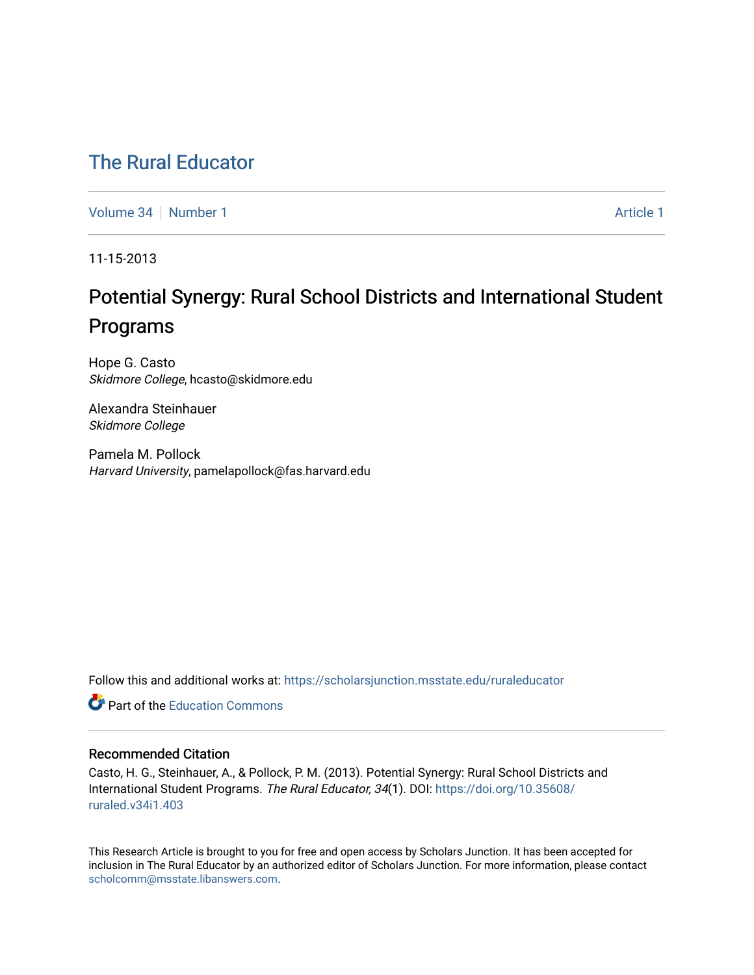## [The Rural Educator](https://scholarsjunction.msstate.edu/ruraleducator)

[Volume 34](https://scholarsjunction.msstate.edu/ruraleducator/vol34) [Number 1](https://scholarsjunction.msstate.edu/ruraleducator/vol34/iss1) [Article 1](https://scholarsjunction.msstate.edu/ruraleducator/vol34/iss1/1) Article 1 Article 1 Article 1 Article 1 Article 1 Article 1

11-15-2013

# Potential Synergy: Rural School Districts and International Student Programs

Hope G. Casto Skidmore College, hcasto@skidmore.edu

Alexandra Steinhauer Skidmore College

Pamela M. Pollock Harvard University, pamelapollock@fas.harvard.edu

Follow this and additional works at: [https://scholarsjunction.msstate.edu/ruraleducator](https://scholarsjunction.msstate.edu/ruraleducator?utm_source=scholarsjunction.msstate.edu%2Fruraleducator%2Fvol34%2Fiss1%2F1&utm_medium=PDF&utm_campaign=PDFCoverPages)

**C** Part of the [Education Commons](http://network.bepress.com/hgg/discipline/784?utm_source=scholarsjunction.msstate.edu%2Fruraleducator%2Fvol34%2Fiss1%2F1&utm_medium=PDF&utm_campaign=PDFCoverPages)

## Recommended Citation

Casto, H. G., Steinhauer, A., & Pollock, P. M. (2013). Potential Synergy: Rural School Districts and International Student Programs. The Rural Educator, 34(1). DOI: [https://doi.org/10.35608/](https://doi.org/10.35608/ruraled.v34i1.403) [ruraled.v34i1.403](https://doi.org/10.35608/ruraled.v34i1.403)

This Research Article is brought to you for free and open access by Scholars Junction. It has been accepted for inclusion in The Rural Educator by an authorized editor of Scholars Junction. For more information, please contact [scholcomm@msstate.libanswers.com.](mailto:scholcomm@msstate.libanswers.com)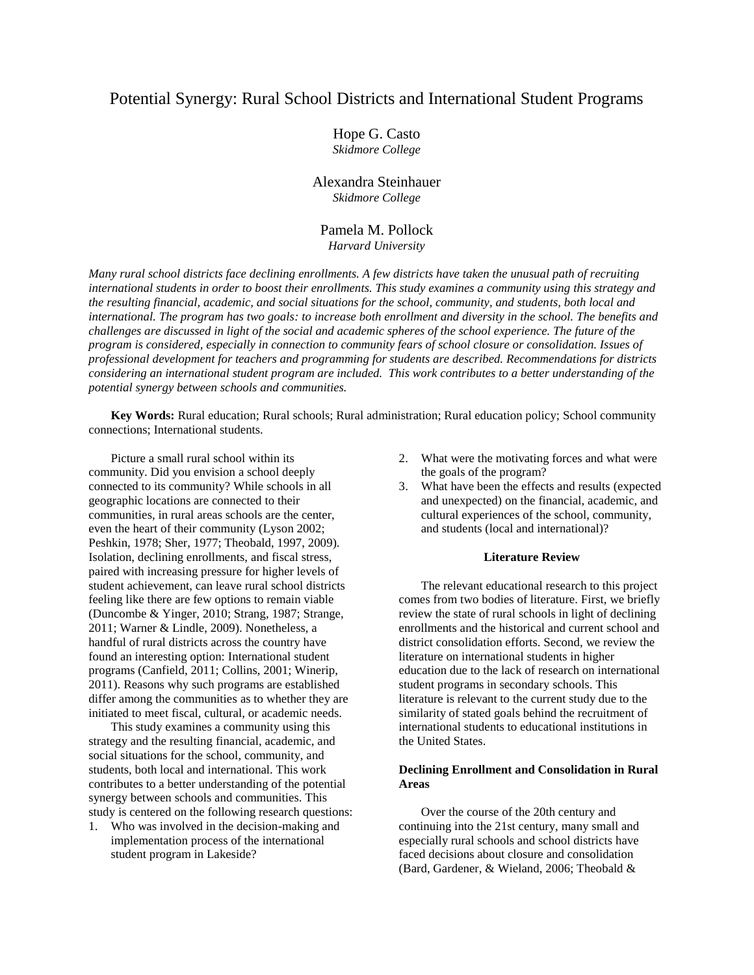## Potential Synergy: Rural School Districts and International Student Programs

Hope G. Casto *Skidmore College*

## Alexandra Steinhauer *Skidmore College*

## Pamela M. Pollock *Harvard University*

*Many rural school districts face declining enrollments. A few districts have taken the unusual path of recruiting international students in order to boost their enrollments. This study examines a community using this strategy and the resulting financial, academic, and social situations for the school, community, and students, both local and international. The program has two goals: to increase both enrollment and diversity in the school. The benefits and challenges are discussed in light of the social and academic spheres of the school experience. The future of the program is considered, especially in connection to community fears of school closure or consolidation. Issues of professional development for teachers and programming for students are described. Recommendations for districts considering an international student program are included. This work contributes to a better understanding of the potential synergy between schools and communities.*

**Key Words:** Rural education; Rural schools; Rural administration; Rural education policy; School community connections; International students.

Picture a small rural school within its community. Did you envision a school deeply connected to its community? While schools in all geographic locations are connected to their communities, in rural areas schools are the center, even the heart of their community (Lyson 2002; Peshkin, 1978; Sher, 1977; Theobald, 1997, 2009). Isolation, declining enrollments, and fiscal stress, paired with increasing pressure for higher levels of student achievement, can leave rural school districts feeling like there are few options to remain viable (Duncombe & Yinger, 2010; Strang, 1987; Strange, 2011; Warner & Lindle, 2009). Nonetheless, a handful of rural districts across the country have found an interesting option: International student programs (Canfield, 2011; Collins, 2001; Winerip, 2011). Reasons why such programs are established differ among the communities as to whether they are initiated to meet fiscal, cultural, or academic needs.

This study examines a community using this strategy and the resulting financial, academic, and social situations for the school, community, and students, both local and international. This work contributes to a better understanding of the potential synergy between schools and communities. This study is centered on the following research questions:

1. Who was involved in the decision-making and implementation process of the international student program in Lakeside?

- 2. What were the motivating forces and what were the goals of the program?
- 3. What have been the effects and results (expected and unexpected) on the financial, academic, and cultural experiences of the school, community, and students (local and international)?

#### **Literature Review**

The relevant educational research to this project comes from two bodies of literature. First, we briefly review the state of rural schools in light of declining enrollments and the historical and current school and district consolidation efforts. Second, we review the literature on international students in higher education due to the lack of research on international student programs in secondary schools. This literature is relevant to the current study due to the similarity of stated goals behind the recruitment of international students to educational institutions in the United States.

#### **Declining Enrollment and Consolidation in Rural Areas**

Over the course of the 20th century and continuing into the 21st century, many small and especially rural schools and school districts have faced decisions about closure and consolidation (Bard, Gardener, & Wieland, 2006; Theobald &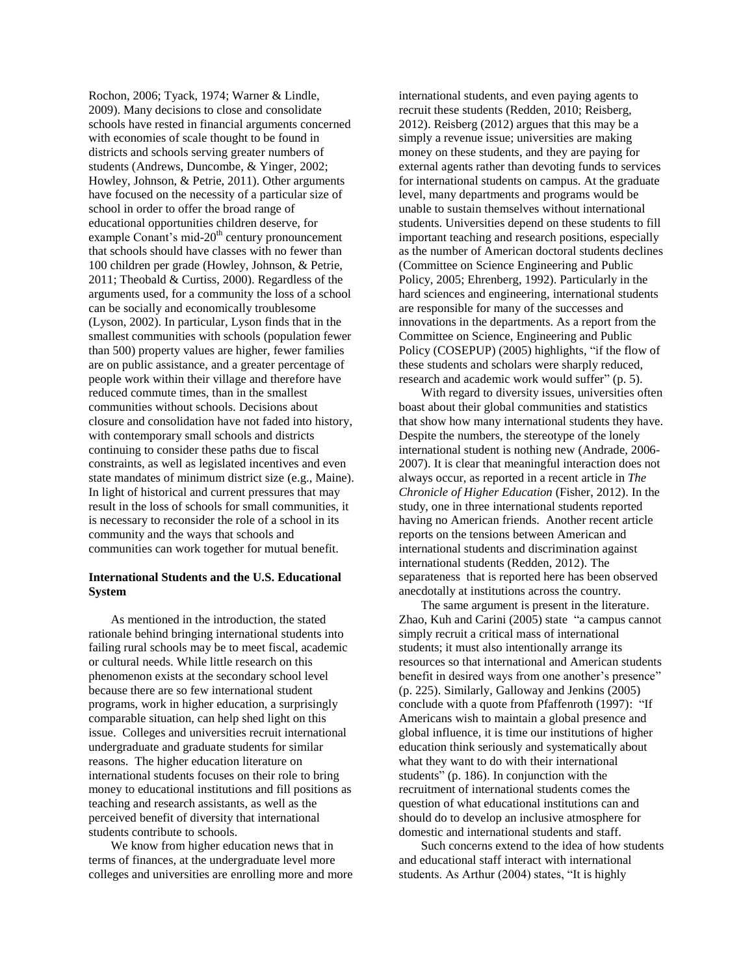Rochon, 2006; Tyack, 1974; Warner & Lindle, 2009). Many decisions to close and consolidate schools have rested in financial arguments concerned with economies of scale thought to be found in districts and schools serving greater numbers of students (Andrews, Duncombe, & Yinger, 2002; Howley, Johnson, & Petrie, 2011). Other arguments have focused on the necessity of a particular size of school in order to offer the broad range of educational opportunities children deserve, for example Conant's mid- $20<sup>th</sup>$  century pronouncement that schools should have classes with no fewer than 100 children per grade (Howley, Johnson, & Petrie, 2011; Theobald & Curtiss, 2000). Regardless of the arguments used, for a community the loss of a school can be socially and economically troublesome (Lyson, 2002). In particular, Lyson finds that in the smallest communities with schools (population fewer than 500) property values are higher, fewer families are on public assistance, and a greater percentage of people work within their village and therefore have reduced commute times, than in the smallest communities without schools. Decisions about closure and consolidation have not faded into history, with contemporary small schools and districts continuing to consider these paths due to fiscal constraints, as well as legislated incentives and even state mandates of minimum district size (e.g., Maine). In light of historical and current pressures that may result in the loss of schools for small communities, it is necessary to reconsider the role of a school in its community and the ways that schools and communities can work together for mutual benefit.

#### **International Students and the U.S. Educational System**

As mentioned in the introduction, the stated rationale behind bringing international students into failing rural schools may be to meet fiscal, academic or cultural needs. While little research on this phenomenon exists at the secondary school level because there are so few international student programs, work in higher education, a surprisingly comparable situation, can help shed light on this issue. Colleges and universities recruit international undergraduate and graduate students for similar reasons. The higher education literature on international students focuses on their role to bring money to educational institutions and fill positions as teaching and research assistants, as well as the perceived benefit of diversity that international students contribute to schools.

We know from higher education news that in terms of finances, at the undergraduate level more colleges and universities are enrolling more and more international students, and even paying agents to recruit these students (Redden, 2010; Reisberg, 2012). Reisberg (2012) argues that this may be a simply a revenue issue; universities are making money on these students, and they are paying for external agents rather than devoting funds to services for international students on campus. At the graduate level, many departments and programs would be unable to sustain themselves without international students. Universities depend on these students to fill important teaching and research positions, especially as the number of American doctoral students declines (Committee on Science Engineering and Public Policy, 2005; Ehrenberg, 1992). Particularly in the hard sciences and engineering, international students are responsible for many of the successes and innovations in the departments. As a report from the Committee on Science, Engineering and Public Policy (COSEPUP) (2005) highlights, "if the flow of these students and scholars were sharply reduced, research and academic work would suffer" (p. 5).

With regard to diversity issues, universities often boast about their global communities and statistics that show how many international students they have. Despite the numbers, the stereotype of the lonely international student is nothing new (Andrade, 2006- 2007). It is clear that meaningful interaction does not always occur, as reported in a recent article in *The Chronicle of Higher Education* (Fisher, 2012). In the study, one in three international students reported having no American friends. Another recent article reports on the tensions between American and international students and discrimination against international students (Redden, 2012). The separateness that is reported here has been observed anecdotally at institutions across the country.

The same argument is present in the literature. Zhao, Kuh and Carini (2005) state "a campus cannot simply recruit a critical mass of international students; it must also intentionally arrange its resources so that international and American students benefit in desired ways from one another's presence" (p. 225). Similarly, Galloway and Jenkins (2005) conclude with a quote from Pfaffenroth (1997): "If Americans wish to maintain a global presence and global influence, it is time our institutions of higher education think seriously and systematically about what they want to do with their international students" (p. 186). In conjunction with the recruitment of international students comes the question of what educational institutions can and should do to develop an inclusive atmosphere for domestic and international students and staff.

Such concerns extend to the idea of how students and educational staff interact with international students. As Arthur (2004) states, "It is highly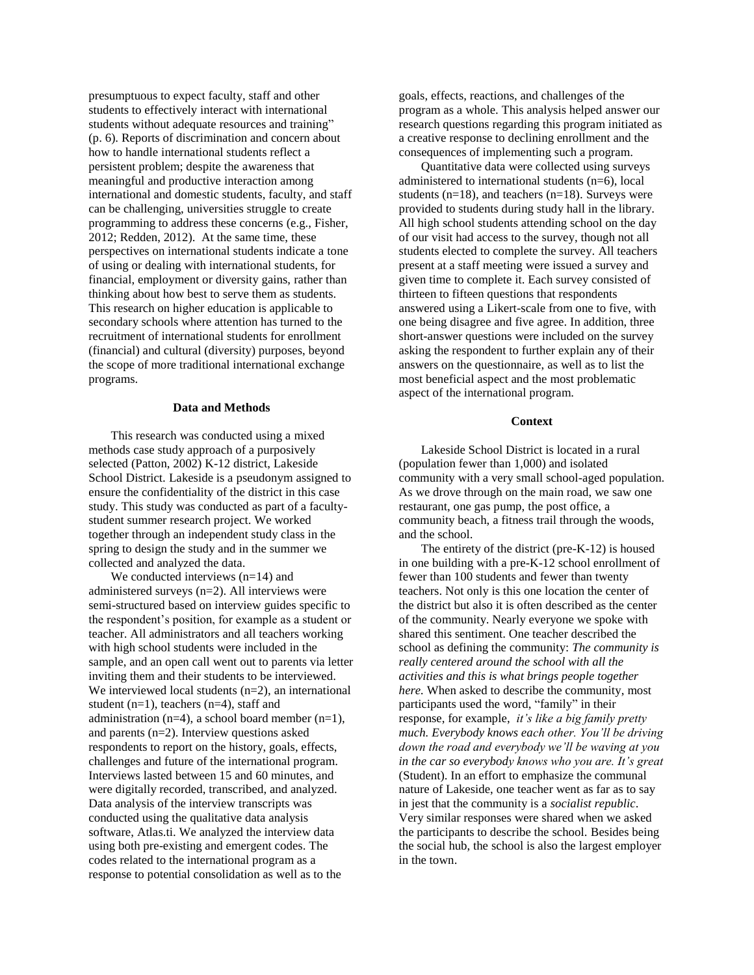presumptuous to expect faculty, staff and other students to effectively interact with international students without adequate resources and training" (p. 6). Reports of discrimination and concern about how to handle international students reflect a persistent problem; despite the awareness that meaningful and productive interaction among international and domestic students, faculty, and staff can be challenging, universities struggle to create programming to address these concerns (e.g., Fisher, 2012; Redden, 2012). At the same time, these perspectives on international students indicate a tone of using or dealing with international students, for financial, employment or diversity gains, rather than thinking about how best to serve them as students. This research on higher education is applicable to secondary schools where attention has turned to the recruitment of international students for enrollment (financial) and cultural (diversity) purposes, beyond the scope of more traditional international exchange programs.

#### **Data and Methods**

This research was conducted using a mixed methods case study approach of a purposively selected (Patton, 2002) K-12 district, Lakeside School District. Lakeside is a pseudonym assigned to ensure the confidentiality of the district in this case study. This study was conducted as part of a facultystudent summer research project. We worked together through an independent study class in the spring to design the study and in the summer we collected and analyzed the data.

We conducted interviews (n=14) and administered surveys (n=2). All interviews were semi-structured based on interview guides specific to the respondent's position, for example as a student or teacher. All administrators and all teachers working with high school students were included in the sample, and an open call went out to parents via letter inviting them and their students to be interviewed. We interviewed local students  $(n=2)$ , an international student  $(n=1)$ , teachers  $(n=4)$ , staff and administration (n=4), a school board member (n=1), and parents (n=2). Interview questions asked respondents to report on the history, goals, effects, challenges and future of the international program. Interviews lasted between 15 and 60 minutes, and were digitally recorded, transcribed, and analyzed. Data analysis of the interview transcripts was conducted using the qualitative data analysis software, Atlas.ti. We analyzed the interview data using both pre-existing and emergent codes. The codes related to the international program as a response to potential consolidation as well as to the

goals, effects, reactions, and challenges of the program as a whole. This analysis helped answer our research questions regarding this program initiated as a creative response to declining enrollment and the consequences of implementing such a program.

Quantitative data were collected using surveys administered to international students (n=6), local students  $(n=18)$ , and teachers  $(n=18)$ . Surveys were provided to students during study hall in the library. All high school students attending school on the day of our visit had access to the survey, though not all students elected to complete the survey. All teachers present at a staff meeting were issued a survey and given time to complete it. Each survey consisted of thirteen to fifteen questions that respondents answered using a Likert-scale from one to five, with one being disagree and five agree. In addition, three short-answer questions were included on the survey asking the respondent to further explain any of their answers on the questionnaire, as well as to list the most beneficial aspect and the most problematic aspect of the international program.

#### **Context**

Lakeside School District is located in a rural (population fewer than 1,000) and isolated community with a very small school-aged population. As we drove through on the main road, we saw one restaurant, one gas pump, the post office, a community beach, a fitness trail through the woods, and the school.

The entirety of the district (pre-K-12) is housed in one building with a pre-K-12 school enrollment of fewer than 100 students and fewer than twenty teachers. Not only is this one location the center of the district but also it is often described as the center of the community. Nearly everyone we spoke with shared this sentiment. One teacher described the school as defining the community: *The community is really centered around the school with all the activities and this is what brings people together here.* When asked to describe the community, most participants used the word, "family" in their response, for example, *it's like a big family pretty much. Everybody knows each other. You'll be driving down the road and everybody we'll be waving at you in the car so everybody knows who you are. It's great* (Student). In an effort to emphasize the communal nature of Lakeside, one teacher went as far as to say in jest that the community is a *socialist republic*. Very similar responses were shared when we asked the participants to describe the school. Besides being the social hub, the school is also the largest employer in the town.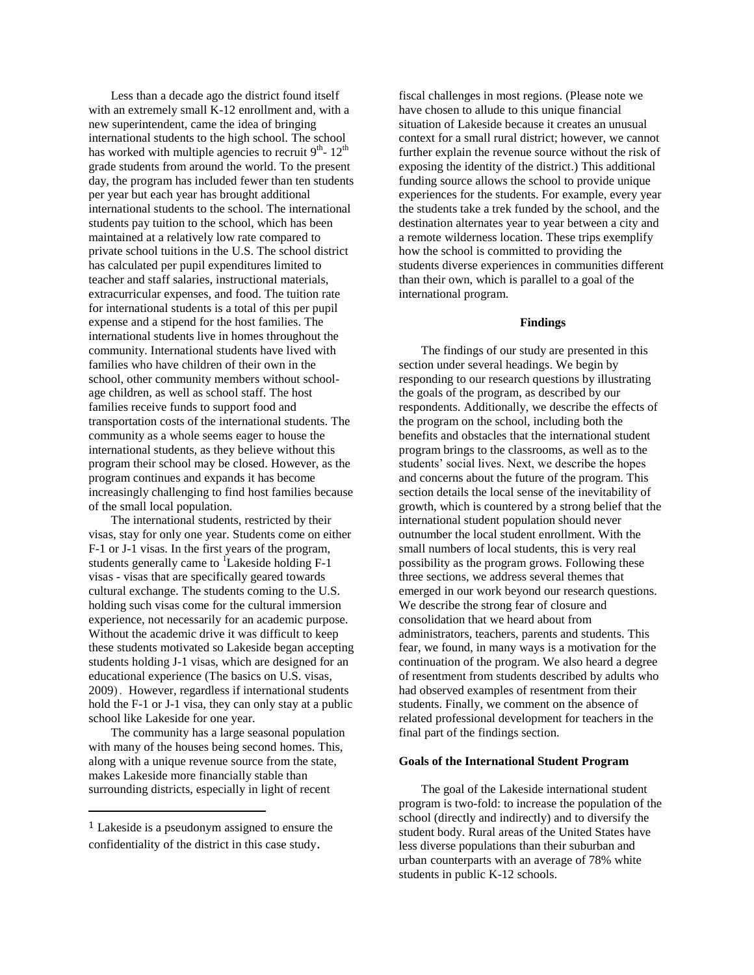Less than a decade ago the district found itself with an extremely small K-12 enrollment and, with a new superintendent, came the idea of bringing international students to the high school. The school has worked with multiple agencies to recruit  $9^{th}$ -  $12^{th}$ grade students from around the world. To the present day, the program has included fewer than ten students per year but each year has brought additional international students to the school. The international students pay tuition to the school, which has been maintained at a relatively low rate compared to private school tuitions in the U.S. The school district has calculated per pupil expenditures limited to teacher and staff salaries, instructional materials, extracurricular expenses, and food. The tuition rate for international students is a total of this per pupil expense and a stipend for the host families. The international students live in homes throughout the community. International students have lived with families who have children of their own in the school, other community members without schoolage children, as well as school staff. The host families receive funds to support food and transportation costs of the international students. The community as a whole seems eager to house the international students, as they believe without this program their school may be closed. However, as the program continues and expands it has become increasingly challenging to find host families because of the small local population.

The international students, restricted by their visas, stay for only one year. Students come on either F-1 or J-1 visas. In the first years of the program, students generally came to  ${}^{1}$ Lakeside holding F-1 visas - visas that are specifically geared towards cultural exchange. The students coming to the U.S. holding such visas come for the cultural immersion experience, not necessarily for an academic purpose. Without the academic drive it was difficult to keep these students motivated so Lakeside began accepting students holding J-1 visas, which are designed for an educational experience (The basics on U.S. visas, 2009). However, regardless if international students hold the F-1 or J-1 visa, they can only stay at a public school like Lakeside for one year.

The community has a large seasonal population with many of the houses being second homes. This, along with a unique revenue source from the state, makes Lakeside more financially stable than surrounding districts, especially in light of recent

 $\overline{\phantom{a}}$ 

fiscal challenges in most regions. (Please note we have chosen to allude to this unique financial situation of Lakeside because it creates an unusual context for a small rural district; however, we cannot further explain the revenue source without the risk of exposing the identity of the district.) This additional funding source allows the school to provide unique experiences for the students. For example, every year the students take a trek funded by the school, and the destination alternates year to year between a city and a remote wilderness location. These trips exemplify how the school is committed to providing the students diverse experiences in communities different than their own, which is parallel to a goal of the international program.

#### **Findings**

The findings of our study are presented in this section under several headings. We begin by responding to our research questions by illustrating the goals of the program, as described by our respondents. Additionally, we describe the effects of the program on the school, including both the benefits and obstacles that the international student program brings to the classrooms, as well as to the students' social lives. Next, we describe the hopes and concerns about the future of the program. This section details the local sense of the inevitability of growth, which is countered by a strong belief that the international student population should never outnumber the local student enrollment. With the small numbers of local students, this is very real possibility as the program grows. Following these three sections, we address several themes that emerged in our work beyond our research questions. We describe the strong fear of closure and consolidation that we heard about from administrators, teachers, parents and students. This fear, we found, in many ways is a motivation for the continuation of the program. We also heard a degree of resentment from students described by adults who had observed examples of resentment from their students. Finally, we comment on the absence of related professional development for teachers in the final part of the findings section.

#### **Goals of the International Student Program**

The goal of the Lakeside international student program is two-fold: to increase the population of the school (directly and indirectly) and to diversify the student body. Rural areas of the United States have less diverse populations than their suburban and urban counterparts with an average of 78% white students in public K-12 schools.

<sup>1</sup> Lakeside is a pseudonym assigned to ensure the confidentiality of the district in this case study.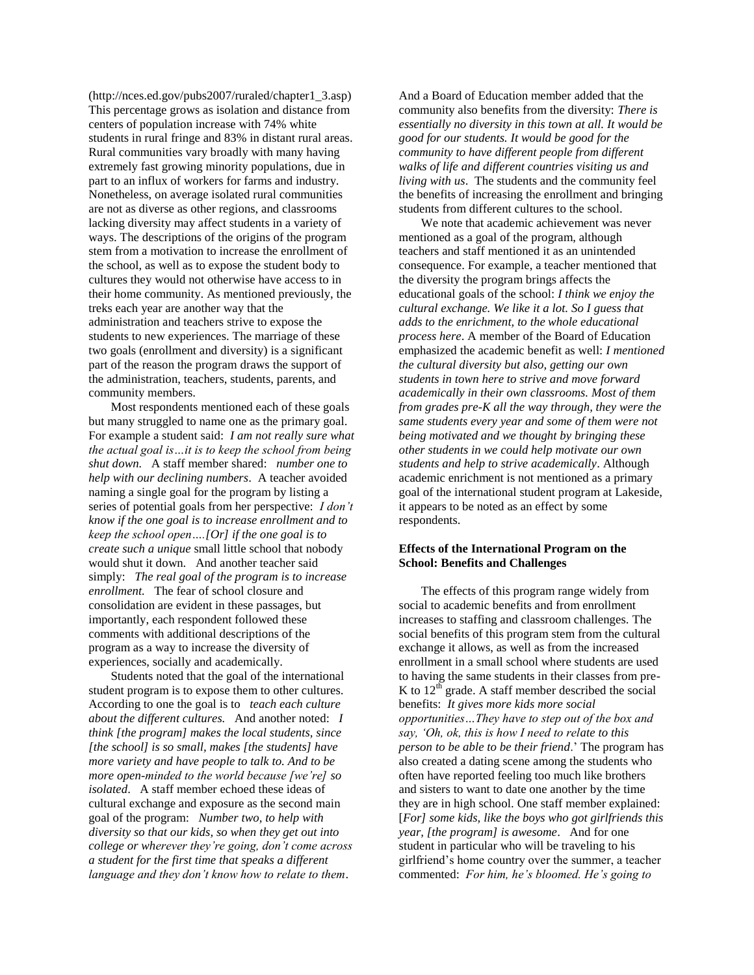(http://nces.ed.gov/pubs2007/ruraled/chapter1\_3.asp) This percentage grows as isolation and distance from centers of population increase with 74% white students in rural fringe and 83% in distant rural areas. Rural communities vary broadly with many having extremely fast growing minority populations, due in part to an influx of workers for farms and industry. Nonetheless, on average isolated rural communities are not as diverse as other regions, and classrooms lacking diversity may affect students in a variety of ways. The descriptions of the origins of the program stem from a motivation to increase the enrollment of the school, as well as to expose the student body to cultures they would not otherwise have access to in their home community. As mentioned previously, the treks each year are another way that the administration and teachers strive to expose the students to new experiences. The marriage of these two goals (enrollment and diversity) is a significant part of the reason the program draws the support of the administration, teachers, students, parents, and community members.

Most respondents mentioned each of these goals but many struggled to name one as the primary goal. For example a student said: *I am not really sure what the actual goal is…it is to keep the school from being shut down.* A staff member shared: *number one to help with our declining numbers*. A teacher avoided naming a single goal for the program by listing a series of potential goals from her perspective: *I don't know if the one goal is to increase enrollment and to keep the school open….[Or] if the one goal is to create such a unique* small little school that nobody would shut it down. And another teacher said simply: *The real goal of the program is to increase enrollment.* The fear of school closure and consolidation are evident in these passages, but importantly, each respondent followed these comments with additional descriptions of the program as a way to increase the diversity of experiences, socially and academically.

Students noted that the goal of the international student program is to expose them to other cultures. According to one the goal is to *teach each culture about the different cultures.* And another noted: *I think [the program] makes the local students, since [the school] is so small, makes [the students] have more variety and have people to talk to. And to be more open-minded to the world because [we're] so isolated*. A staff member echoed these ideas of cultural exchange and exposure as the second main goal of the program: *Number two, to help with diversity so that our kids, so when they get out into college or wherever they're going, don't come across a student for the first time that speaks a different language and they don't know how to relate to them*.

And a Board of Education member added that the community also benefits from the diversity: *There is essentially no diversity in this town at all. It would be good for our students. It would be good for the community to have different people from different walks of life and different countries visiting us and living with us*. The students and the community feel the benefits of increasing the enrollment and bringing students from different cultures to the school.

We note that academic achievement was never mentioned as a goal of the program, although teachers and staff mentioned it as an unintended consequence. For example, a teacher mentioned that the diversity the program brings affects the educational goals of the school: *I think we enjoy the cultural exchange. We like it a lot. So I guess that adds to the enrichment, to the whole educational process here*. A member of the Board of Education emphasized the academic benefit as well: *I mentioned the cultural diversity but also, getting our own students in town here to strive and move forward academically in their own classrooms. Most of them from grades pre-K all the way through, they were the same students every year and some of them were not being motivated and we thought by bringing these other students in we could help motivate our own students and help to strive academically*. Although academic enrichment is not mentioned as a primary goal of the international student program at Lakeside, it appears to be noted as an effect by some respondents.

#### **Effects of the International Program on the School: Benefits and Challenges**

The effects of this program range widely from social to academic benefits and from enrollment increases to staffing and classroom challenges. The social benefits of this program stem from the cultural exchange it allows, as well as from the increased enrollment in a small school where students are used to having the same students in their classes from pre-K to  $12<sup>th</sup>$  grade. A staff member described the social benefits: *It gives more kids more social opportunities…They have to step out of the box and say, 'Oh, ok, this is how I need to relate to this person to be able to be their friend*.' The program has also created a dating scene among the students who often have reported feeling too much like brothers and sisters to want to date one another by the time they are in high school. One staff member explained: [*For] some kids, like the boys who got girlfriends this year, [the program] is awesome*. And for one student in particular who will be traveling to his girlfriend's home country over the summer, a teacher commented: *For him, he's bloomed. He's going to*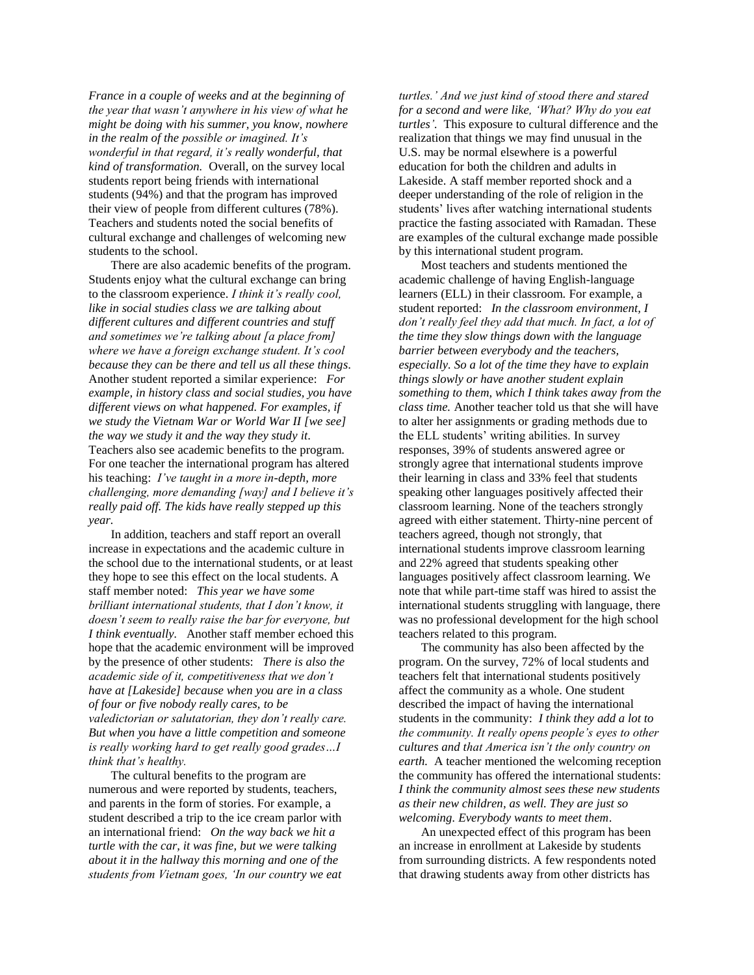*France in a couple of weeks and at the beginning of the year that wasn't anywhere in his view of what he might be doing with his summer, you know, nowhere in the realm of the possible or imagined. It's wonderful in that regard, it's really wonderful, that kind of transformation.* Overall, on the survey local students report being friends with international students (94%) and that the program has improved their view of people from different cultures (78%). Teachers and students noted the social benefits of cultural exchange and challenges of welcoming new students to the school.

There are also academic benefits of the program. Students enjoy what the cultural exchange can bring to the classroom experience. *I think it's really cool, like in social studies class we are talking about different cultures and different countries and stuff and sometimes we're talking about [a place from] where we have a foreign exchange student. It's cool because they can be there and tell us all these things*. Another student reported a similar experience: *For example, in history class and social studies, you have different views on what happened. For examples, if we study the Vietnam War or World War II [we see] the way we study it and the way they study it*. Teachers also see academic benefits to the program. For one teacher the international program has altered his teaching: *I've taught in a more in-depth, more challenging, more demanding [way] and I believe it's really paid off. The kids have really stepped up this year.* 

In addition, teachers and staff report an overall increase in expectations and the academic culture in the school due to the international students, or at least they hope to see this effect on the local students. A staff member noted: *This year we have some brilliant international students, that I don't know, it doesn't seem to really raise the bar for everyone, but I think eventually.* Another staff member echoed this hope that the academic environment will be improved by the presence of other students: *There is also the academic side of it, competitiveness that we don't have at [Lakeside] because when you are in a class of four or five nobody really cares, to be valedictorian or salutatorian, they don't really care. But when you have a little competition and someone is really working hard to get really good grades…I think that's healthy.*

The cultural benefits to the program are numerous and were reported by students, teachers, and parents in the form of stories. For example, a student described a trip to the ice cream parlor with an international friend: *On the way back we hit a turtle with the car, it was fine, but we were talking about it in the hallway this morning and one of the students from Vietnam goes, 'In our country we eat* 

*turtles.' And we just kind of stood there and stared for a second and were like, 'What? Why do you eat turtles'.* This exposure to cultural difference and the realization that things we may find unusual in the U.S. may be normal elsewhere is a powerful education for both the children and adults in Lakeside. A staff member reported shock and a deeper understanding of the role of religion in the students' lives after watching international students practice the fasting associated with Ramadan. These are examples of the cultural exchange made possible by this international student program.

Most teachers and students mentioned the academic challenge of having English-language learners (ELL) in their classroom. For example, a student reported: *In the classroom environment, I don't really feel they add that much. In fact, a lot of the time they slow things down with the language barrier between everybody and the teachers, especially. So a lot of the time they have to explain things slowly or have another student explain something to them, which I think takes away from the class time.* Another teacher told us that she will have to alter her assignments or grading methods due to the ELL students' writing abilities. In survey responses, 39% of students answered agree or strongly agree that international students improve their learning in class and 33% feel that students speaking other languages positively affected their classroom learning. None of the teachers strongly agreed with either statement. Thirty-nine percent of teachers agreed, though not strongly, that international students improve classroom learning and 22% agreed that students speaking other languages positively affect classroom learning. We note that while part-time staff was hired to assist the international students struggling with language, there was no professional development for the high school teachers related to this program.

The community has also been affected by the program. On the survey, 72% of local students and teachers felt that international students positively affect the community as a whole. One student described the impact of having the international students in the community: *I think they add a lot to the community. It really opens people's eyes to other cultures and that America isn't the only country on earth.* A teacher mentioned the welcoming reception the community has offered the international students: *I think the community almost sees these new students as their new children, as well. They are just so welcoming. Everybody wants to meet them*.

An unexpected effect of this program has been an increase in enrollment at Lakeside by students from surrounding districts. A few respondents noted that drawing students away from other districts has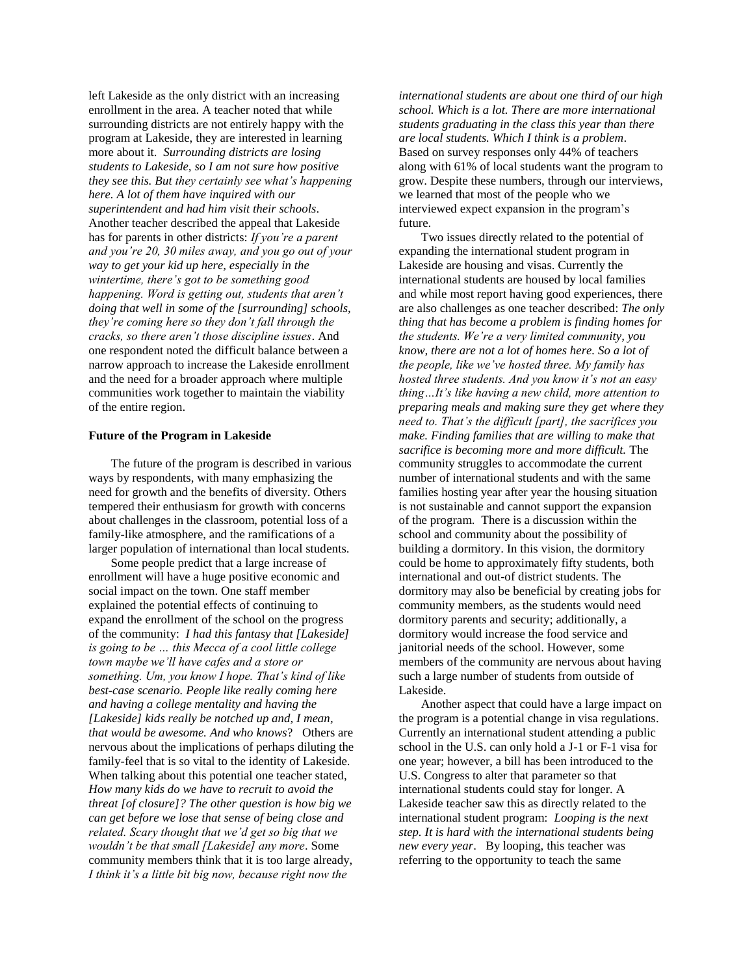left Lakeside as the only district with an increasing enrollment in the area. A teacher noted that while surrounding districts are not entirely happy with the program at Lakeside, they are interested in learning more about it. *Surrounding districts are losing students to Lakeside, so I am not sure how positive they see this. But they certainly see what's happening here. A lot of them have inquired with our superintendent and had him visit their schools*. Another teacher described the appeal that Lakeside has for parents in other districts: *If you're a parent and you're 20, 30 miles away, and you go out of your way to get your kid up here, especially in the wintertime, there's got to be something good happening. Word is getting out, students that aren't doing that well in some of the [surrounding] schools, they're coming here so they don't fall through the cracks, so there aren't those discipline issues*. And one respondent noted the difficult balance between a narrow approach to increase the Lakeside enrollment and the need for a broader approach where multiple communities work together to maintain the viability of the entire region.

#### **Future of the Program in Lakeside**

The future of the program is described in various ways by respondents, with many emphasizing the need for growth and the benefits of diversity. Others tempered their enthusiasm for growth with concerns about challenges in the classroom, potential loss of a family-like atmosphere, and the ramifications of a larger population of international than local students.

Some people predict that a large increase of enrollment will have a huge positive economic and social impact on the town. One staff member explained the potential effects of continuing to expand the enrollment of the school on the progress of the community: *I had this fantasy that [Lakeside] is going to be … this Mecca of a cool little college town maybe we'll have cafes and a store or something. Um, you know I hope. That's kind of like best-case scenario. People like really coming here and having a college mentality and having the [Lakeside] kids really be notched up and, I mean, that would be awesome. And who knows*? Others are nervous about the implications of perhaps diluting the family-feel that is so vital to the identity of Lakeside. When talking about this potential one teacher stated, *How many kids do we have to recruit to avoid the threat [of closure]? The other question is how big we can get before we lose that sense of being close and related. Scary thought that we'd get so big that we wouldn't be that small [Lakeside] any more*. Some community members think that it is too large already, *I think it's a little bit big now, because right now the* 

*international students are about one third of our high school. Which is a lot. There are more international students graduating in the class this year than there are local students. Which I think is a problem*. Based on survey responses only 44% of teachers along with 61% of local students want the program to grow. Despite these numbers, through our interviews, we learned that most of the people who we interviewed expect expansion in the program's future.

Two issues directly related to the potential of expanding the international student program in Lakeside are housing and visas. Currently the international students are housed by local families and while most report having good experiences, there are also challenges as one teacher described: *The only thing that has become a problem is finding homes for the students. We're a very limited community, you know, there are not a lot of homes here. So a lot of the people, like we've hosted three. My family has hosted three students. And you know it's not an easy thing…It's like having a new child, more attention to preparing meals and making sure they get where they need to. That's the difficult [part], the sacrifices you make. Finding families that are willing to make that sacrifice is becoming more and more difficult.* The community struggles to accommodate the current number of international students and with the same families hosting year after year the housing situation is not sustainable and cannot support the expansion of the program. There is a discussion within the school and community about the possibility of building a dormitory. In this vision, the dormitory could be home to approximately fifty students, both international and out-of district students. The dormitory may also be beneficial by creating jobs for community members, as the students would need dormitory parents and security; additionally, a dormitory would increase the food service and janitorial needs of the school. However, some members of the community are nervous about having such a large number of students from outside of Lakeside.

Another aspect that could have a large impact on the program is a potential change in visa regulations. Currently an international student attending a public school in the U.S. can only hold a J-1 or F-1 visa for one year; however, a bill has been introduced to the U.S. Congress to alter that parameter so that international students could stay for longer. A Lakeside teacher saw this as directly related to the international student program: *Looping is the next step. It is hard with the international students being new every year*. By looping, this teacher was referring to the opportunity to teach the same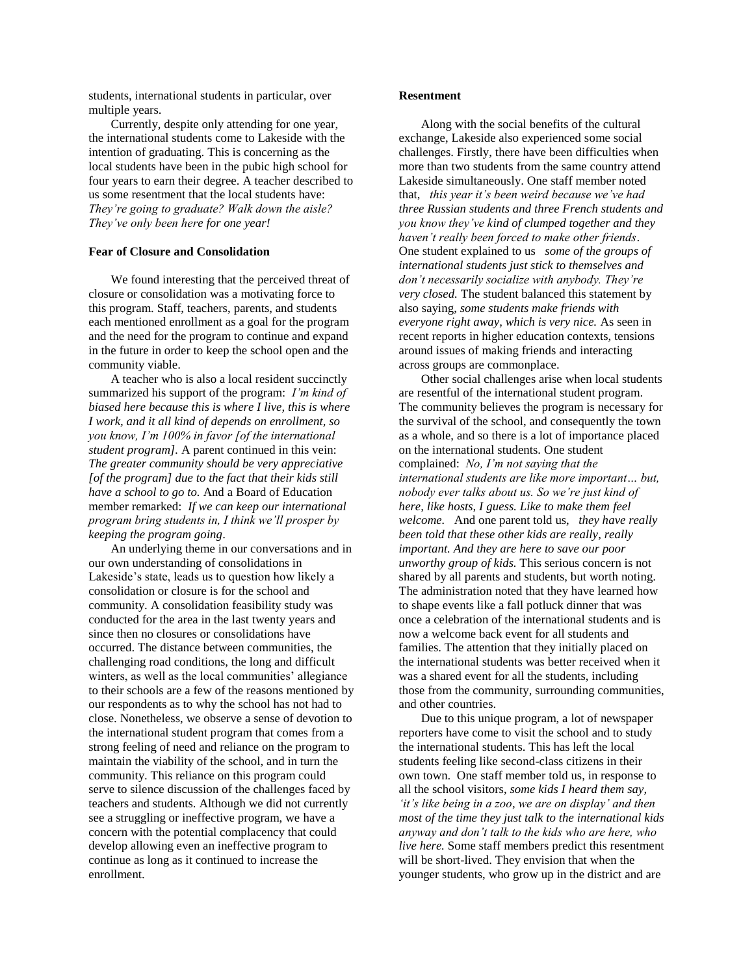students, international students in particular, over multiple years.

Currently, despite only attending for one year, the international students come to Lakeside with the intention of graduating. This is concerning as the local students have been in the pubic high school for four years to earn their degree. A teacher described to us some resentment that the local students have: *They're going to graduate? Walk down the aisle? They've only been here for one year!* 

#### **Fear of Closure and Consolidation**

We found interesting that the perceived threat of closure or consolidation was a motivating force to this program. Staff, teachers, parents, and students each mentioned enrollment as a goal for the program and the need for the program to continue and expand in the future in order to keep the school open and the community viable.

A teacher who is also a local resident succinctly summarized his support of the program: *I'm kind of biased here because this is where I live, this is where I work, and it all kind of depends on enrollment, so you know, I'm 100% in favor [of the international student program].* A parent continued in this vein: *The greater community should be very appreciative [of the program] due to the fact that their kids still have a school to go to.* And a Board of Education member remarked: *If we can keep our international program bring students in, I think we'll prosper by keeping the program going*.

An underlying theme in our conversations and in our own understanding of consolidations in Lakeside's state, leads us to question how likely a consolidation or closure is for the school and community. A consolidation feasibility study was conducted for the area in the last twenty years and since then no closures or consolidations have occurred. The distance between communities, the challenging road conditions, the long and difficult winters, as well as the local communities' allegiance to their schools are a few of the reasons mentioned by our respondents as to why the school has not had to close. Nonetheless, we observe a sense of devotion to the international student program that comes from a strong feeling of need and reliance on the program to maintain the viability of the school, and in turn the community. This reliance on this program could serve to silence discussion of the challenges faced by teachers and students. Although we did not currently see a struggling or ineffective program, we have a concern with the potential complacency that could develop allowing even an ineffective program to continue as long as it continued to increase the enrollment.

#### **Resentment**

Along with the social benefits of the cultural exchange, Lakeside also experienced some social challenges. Firstly, there have been difficulties when more than two students from the same country attend Lakeside simultaneously. One staff member noted that, *this year it's been weird because we've had three Russian students and three French students and you know they've kind of clumped together and they haven't really been forced to make other friends*. One student explained to us *some of the groups of international students just stick to themselves and don't necessarily socialize with anybody. They're very closed.* The student balanced this statement by also saying, *some students make friends with everyone right away, which is very nice.* As seen in recent reports in higher education contexts, tensions around issues of making friends and interacting across groups are commonplace.

Other social challenges arise when local students are resentful of the international student program. The community believes the program is necessary for the survival of the school, and consequently the town as a whole, and so there is a lot of importance placed on the international students. One student complained: *No, I'm not saying that the international students are like more important… but, nobody ever talks about us. So we're just kind of here, like hosts, I guess. Like to make them feel welcome.* And one parent told us, *they have really been told that these other kids are really, really important. And they are here to save our poor unworthy group of kids.* This serious concern is not shared by all parents and students, but worth noting. The administration noted that they have learned how to shape events like a fall potluck dinner that was once a celebration of the international students and is now a welcome back event for all students and families. The attention that they initially placed on the international students was better received when it was a shared event for all the students, including those from the community, surrounding communities, and other countries.

Due to this unique program, a lot of newspaper reporters have come to visit the school and to study the international students. This has left the local students feeling like second-class citizens in their own town. One staff member told us, in response to all the school visitors, *some kids I heard them say, 'it's like being in a zoo, we are on display' and then most of the time they just talk to the international kids anyway and don't talk to the kids who are here, who live here.* Some staff members predict this resentment will be short-lived. They envision that when the younger students, who grow up in the district and are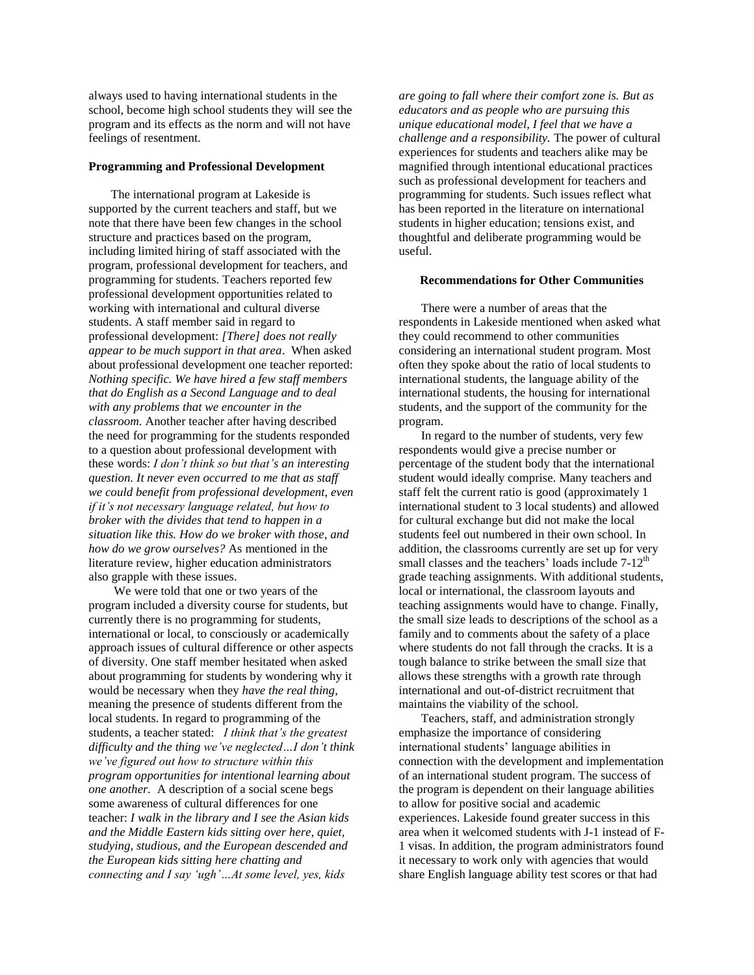always used to having international students in the school, become high school students they will see the program and its effects as the norm and will not have feelings of resentment.

#### **Programming and Professional Development**

The international program at Lakeside is supported by the current teachers and staff, but we note that there have been few changes in the school structure and practices based on the program, including limited hiring of staff associated with the program, professional development for teachers, and programming for students. Teachers reported few professional development opportunities related to working with international and cultural diverse students. A staff member said in regard to professional development: *[There] does not really appear to be much support in that area*. When asked about professional development one teacher reported: *Nothing specific. We have hired a few staff members that do English as a Second Language and to deal with any problems that we encounter in the classroom.* Another teacher after having described the need for programming for the students responded to a question about professional development with these words: *I don't think so but that's an interesting question. It never even occurred to me that as staff we could benefit from professional development, even if it's not necessary language related, but how to broker with the divides that tend to happen in a situation like this. How do we broker with those, and how do we grow ourselves?* As mentioned in the literature review, higher education administrators also grapple with these issues.

We were told that one or two years of the program included a diversity course for students, but currently there is no programming for students, international or local, to consciously or academically approach issues of cultural difference or other aspects of diversity. One staff member hesitated when asked about programming for students by wondering why it would be necessary when they *have the real thing*, meaning the presence of students different from the local students. In regard to programming of the students, a teacher stated: *I think that's the greatest difficulty and the thing we've neglected…I don't think we've figured out how to structure within this program opportunities for intentional learning about one another.* A description of a social scene begs some awareness of cultural differences for one teacher: *I walk in the library and I see the Asian kids and the Middle Eastern kids sitting over here, quiet, studying, studious, and the European descended and the European kids sitting here chatting and connecting and I say 'ugh'…At some level, yes, kids* 

*are going to fall where their comfort zone is. But as educators and as people who are pursuing this unique educational model, I feel that we have a challenge and a responsibility.* The power of cultural experiences for students and teachers alike may be magnified through intentional educational practices such as professional development for teachers and programming for students. Such issues reflect what has been reported in the literature on international students in higher education; tensions exist, and thoughtful and deliberate programming would be useful.

#### **Recommendations for Other Communities**

There were a number of areas that the respondents in Lakeside mentioned when asked what they could recommend to other communities considering an international student program. Most often they spoke about the ratio of local students to international students, the language ability of the international students, the housing for international students, and the support of the community for the program.

In regard to the number of students, very few respondents would give a precise number or percentage of the student body that the international student would ideally comprise. Many teachers and staff felt the current ratio is good (approximately 1 international student to 3 local students) and allowed for cultural exchange but did not make the local students feel out numbered in their own school. In addition, the classrooms currently are set up for very small classes and the teachers' loads include  $7-12<sup>th</sup>$ grade teaching assignments. With additional students, local or international, the classroom layouts and teaching assignments would have to change. Finally, the small size leads to descriptions of the school as a family and to comments about the safety of a place where students do not fall through the cracks. It is a tough balance to strike between the small size that allows these strengths with a growth rate through international and out-of-district recruitment that maintains the viability of the school.

Teachers, staff, and administration strongly emphasize the importance of considering international students' language abilities in connection with the development and implementation of an international student program. The success of the program is dependent on their language abilities to allow for positive social and academic experiences. Lakeside found greater success in this area when it welcomed students with J-1 instead of F-1 visas. In addition, the program administrators found it necessary to work only with agencies that would share English language ability test scores or that had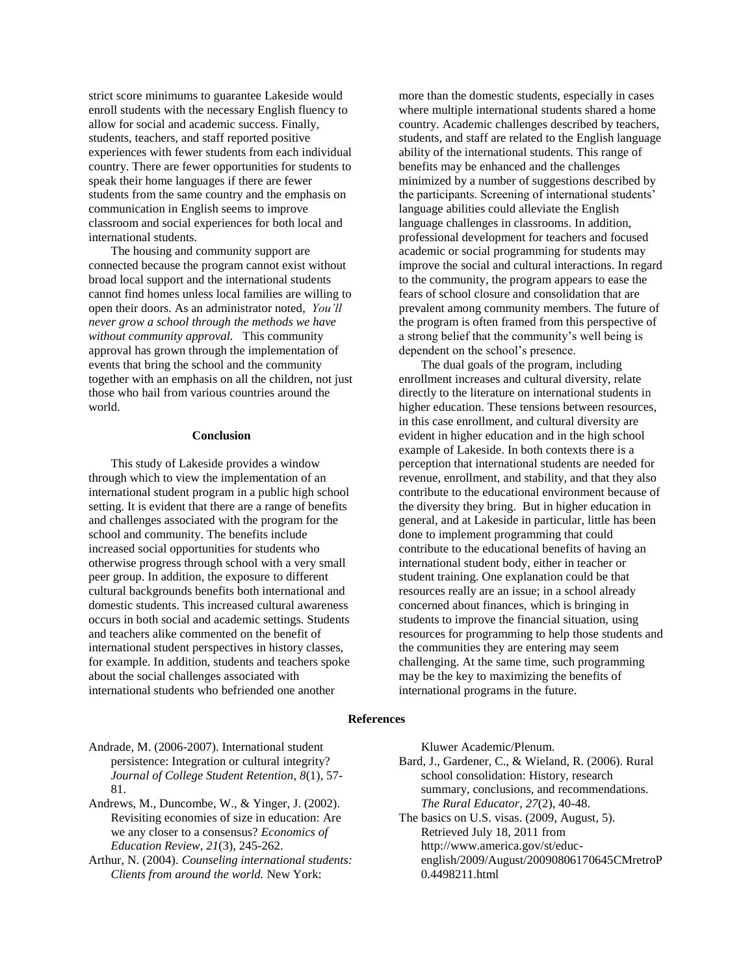strict score minimums to guarantee Lakeside would enroll students with the necessary English fluency to allow for social and academic success. Finally, students, teachers, and staff reported positive experiences with fewer students from each individual country. There are fewer opportunities for students to speak their home languages if there are fewer students from the same country and the emphasis on communication in English seems to improve classroom and social experiences for both local and international students.

The housing and community support are connected because the program cannot exist without broad local support and the international students cannot find homes unless local families are willing to open their doors. As an administrator noted, *You'll never grow a school through the methods we have without community approval.* This community approval has grown through the implementation of events that bring the school and the community together with an emphasis on all the children, not just those who hail from various countries around the world.

#### **Conclusion**

This study of Lakeside provides a window through which to view the implementation of an international student program in a public high school setting. It is evident that there are a range of benefits and challenges associated with the program for the school and community. The benefits include increased social opportunities for students who otherwise progress through school with a very small peer group. In addition, the exposure to different cultural backgrounds benefits both international and domestic students. This increased cultural awareness occurs in both social and academic settings. Students and teachers alike commented on the benefit of international student perspectives in history classes, for example. In addition, students and teachers spoke about the social challenges associated with international students who befriended one another

more than the domestic students, especially in cases where multiple international students shared a home country. Academic challenges described by teachers, students, and staff are related to the English language ability of the international students. This range of benefits may be enhanced and the challenges minimized by a number of suggestions described by the participants. Screening of international students' language abilities could alleviate the English language challenges in classrooms. In addition, professional development for teachers and focused academic or social programming for students may improve the social and cultural interactions. In regard to the community, the program appears to ease the fears of school closure and consolidation that are prevalent among community members. The future of the program is often framed from this perspective of a strong belief that the community's well being is dependent on the school's presence.

The dual goals of the program, including enrollment increases and cultural diversity, relate directly to the literature on international students in higher education. These tensions between resources, in this case enrollment, and cultural diversity are evident in higher education and in the high school example of Lakeside. In both contexts there is a perception that international students are needed for revenue, enrollment, and stability, and that they also contribute to the educational environment because of the diversity they bring. But in higher education in general, and at Lakeside in particular, little has been done to implement programming that could contribute to the educational benefits of having an international student body, either in teacher or student training. One explanation could be that resources really are an issue; in a school already concerned about finances, which is bringing in students to improve the financial situation, using resources for programming to help those students and the communities they are entering may seem challenging. At the same time, such programming may be the key to maximizing the benefits of international programs in the future.

#### **References**

Andrade, M. (2006-2007). International student persistence: Integration or cultural integrity? *Journal of College Student Retention*, *8*(1), 57- 81.

Andrews, M., Duncombe, W., & Yinger, J. (2002). Revisiting economies of size in education: Are we any closer to a consensus? *Economics of Education Review*, *21*(3), 245-262.

Arthur, N. (2004). *Counseling international students: Clients from around the world.* New York:

Kluwer Academic/Plenum. Bard, J., Gardener, C., & Wieland, R. (2006). Rural school consolidation: History, research summary, conclusions, and recommendations. *The Rural Educator, 27*(2), 40-48. The basics on U.S. visas. (2009, August, 5).

Retrieved July 18, 2011 from http://www.america.gov/st/educenglish/2009/August/20090806170645CMretroP 0.4498211.html